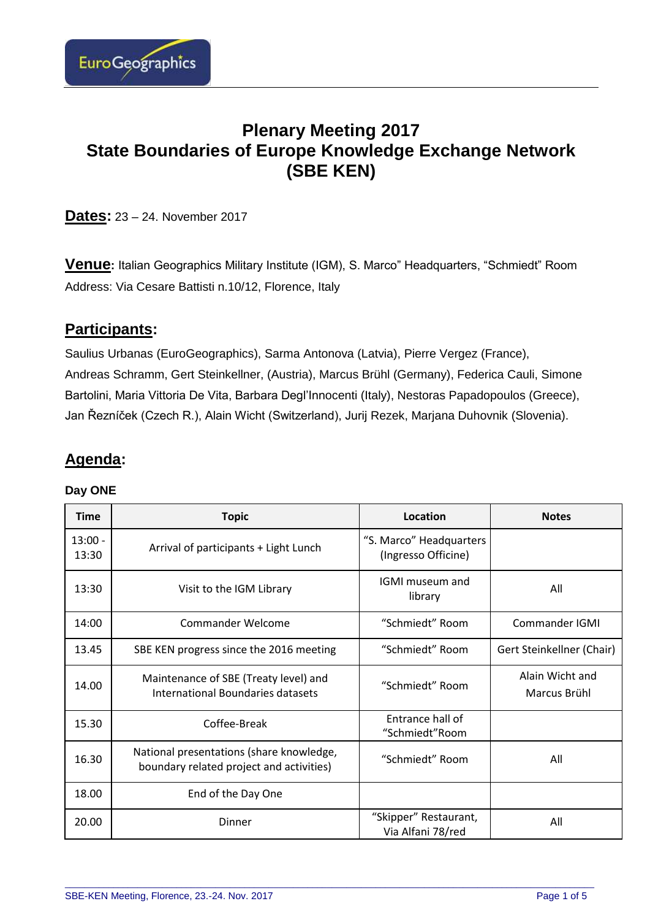

# **Plenary Meeting 2017 State Boundaries of Europe Knowledge Exchange Network (SBE KEN)**

**Dates:** 23 – 24. November 2017

**Venue:** Italian Geographics Military Institute (IGM), S. Marco" Headquarters, "Schmiedt" Room Address: Via Cesare Battisti n.10/12, Florence, Italy

# **Participants:**

Saulius Urbanas (EuroGeographics), Sarma Antonova (Latvia), Pierre Vergez (France), Andreas Schramm, Gert Steinkellner, (Austria), Marcus Brühl (Germany), Federica Cauli, Simone Bartolini, Maria Vittoria De Vita, Barbara Degl'Innocenti (Italy), Nestoras Papadopoulos (Greece), Jan Řezníček (Czech R.), Alain Wicht (Switzerland), Jurij Rezek, Marjana Duhovnik (Slovenia).

# **Agenda:**

### **Day ONE**

| <b>Time</b>        | <b>Topic</b>                                                                         | Location                                       | <b>Notes</b>                    |
|--------------------|--------------------------------------------------------------------------------------|------------------------------------------------|---------------------------------|
| $13:00 -$<br>13:30 | Arrival of participants + Light Lunch                                                | "S. Marco" Headquarters<br>(Ingresso Officine) |                                 |
| 13:30              | Visit to the IGM Library                                                             | IGMI museum and<br>library                     | All                             |
| 14:00              | Commander Welcome                                                                    | "Schmiedt" Room                                | <b>Commander IGMI</b>           |
| 13.45              | SBE KEN progress since the 2016 meeting                                              | "Schmiedt" Room                                | Gert Steinkellner (Chair)       |
| 14.00              | Maintenance of SBE (Treaty level) and<br><b>International Boundaries datasets</b>    | "Schmiedt" Room                                | Alain Wicht and<br>Marcus Brühl |
| 15.30              | Coffee-Break                                                                         | Entrance hall of<br>"Schmiedt"Room             |                                 |
| 16.30              | National presentations (share knowledge,<br>boundary related project and activities) | "Schmiedt" Room                                | All                             |
| 18.00              | End of the Day One                                                                   |                                                |                                 |
| 20.00              | Dinner                                                                               | "Skipper" Restaurant,<br>Via Alfani 78/red     | All                             |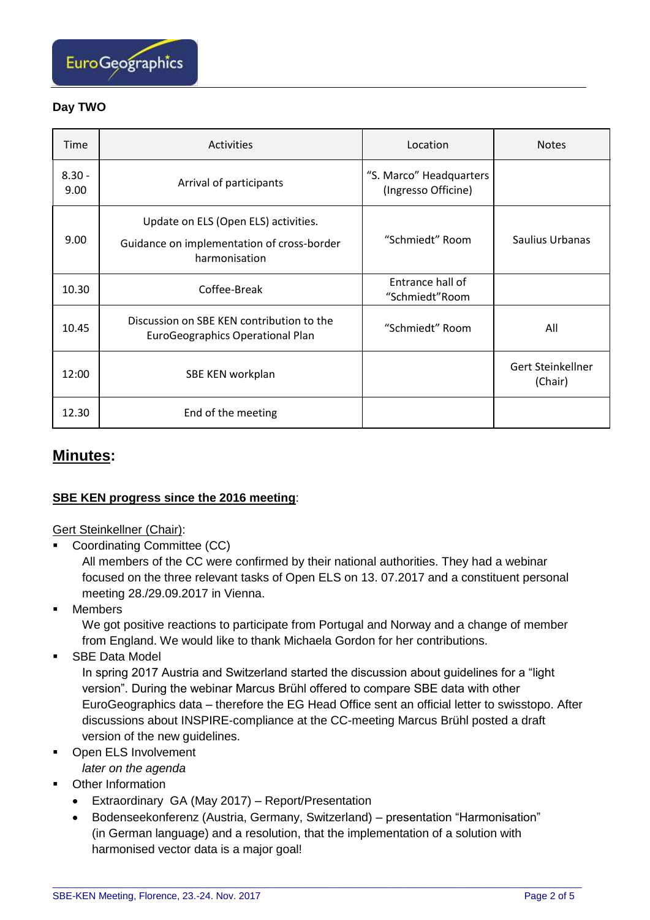

### **Day TWO**

| Time             | Activities                                                                                          | Location                                       | <b>Notes</b>                 |
|------------------|-----------------------------------------------------------------------------------------------------|------------------------------------------------|------------------------------|
| $8.30 -$<br>9.00 | Arrival of participants                                                                             | "S. Marco" Headquarters<br>(Ingresso Officine) |                              |
| 9.00             | Update on ELS (Open ELS) activities.<br>Guidance on implementation of cross-border<br>harmonisation | "Schmiedt" Room                                | Saulius Urbanas              |
| 10.30            | Coffee-Break                                                                                        | Entrance hall of<br>"Schmiedt"Room             |                              |
| 10.45            | Discussion on SBE KEN contribution to the<br>EuroGeographics Operational Plan                       | "Schmiedt" Room                                | All                          |
| 12:00            | SBE KEN workplan                                                                                    |                                                | Gert Steinkellner<br>(Chair) |
| 12.30            | End of the meeting                                                                                  |                                                |                              |

## **Minutes:**

### **SBE KEN progress since the 2016 meeting**:

Gert Steinkellner (Chair):

■ Coordinating Committee (CC)

All members of the CC were confirmed by their national authorities. They had a webinar focused on the three relevant tasks of Open ELS on 13. 07.2017 and a constituent personal meeting 28./29.09.2017 in Vienna.

■ Members

We got positive reactions to participate from Portugal and Norway and a change of member from England. We would like to thank Michaela Gordon for her contributions.

■ SBE Data Model

In spring 2017 Austria and Switzerland started the discussion about guidelines for a "light version". During the webinar Marcus Brühl offered to compare SBE data with other EuroGeographics data – therefore the EG Head Office sent an official letter to swisstopo. After discussions about INSPIRE-compliance at the CC-meeting Marcus Brühl posted a draft version of the new guidelines.

- Open ELS Involvement
	- *later on the agenda*
- **Other Information** 
	- Extraordinary GA (May 2017) Report/Presentation
	- Bodenseekonferenz (Austria, Germany, Switzerland) presentation "Harmonisation" (in German language) and a resolution, that the implementation of a solution with harmonised vector data is a major goal!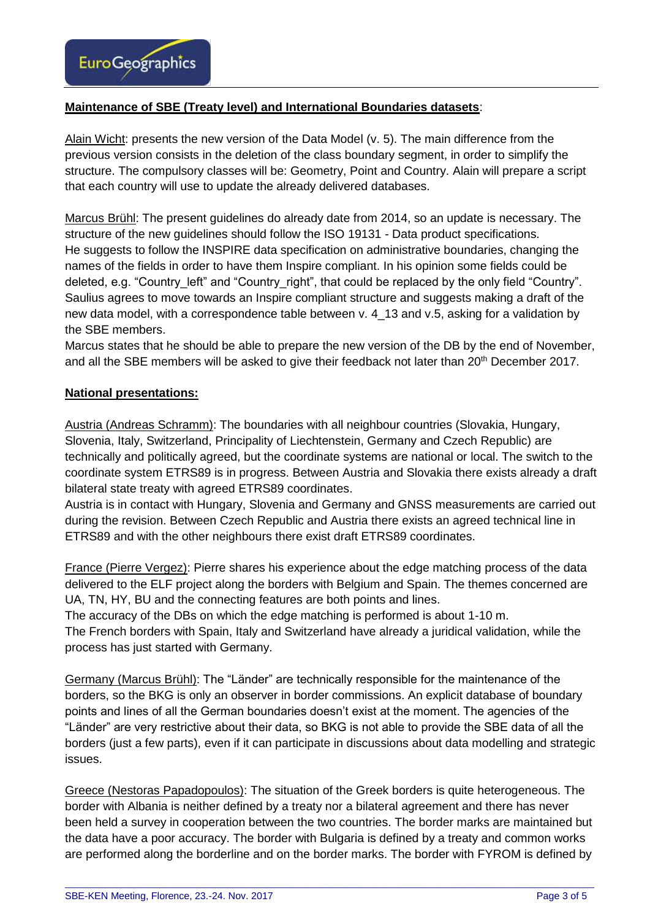

#### **Maintenance of SBE (Treaty level) and International Boundaries datasets**:

Alain Wicht: presents the new version of the Data Model (v. 5). The main difference from the previous version consists in the deletion of the class boundary segment, in order to simplify the structure. The compulsory classes will be: Geometry, Point and Country. Alain will prepare a script that each country will use to update the already delivered databases.

Marcus Brühl: The present guidelines do already date from 2014, so an update is necessary. The structure of the new guidelines should follow the ISO 19131 - Data product specifications. He suggests to follow the INSPIRE data specification on administrative boundaries, changing the names of the fields in order to have them Inspire compliant. In his opinion some fields could be deleted, e.g. "Country left" and "Country right", that could be replaced by the only field "Country". Saulius agrees to move towards an Inspire compliant structure and suggests making a draft of the new data model, with a correspondence table between v. 4\_13 and v.5, asking for a validation by the SBE members.

Marcus states that he should be able to prepare the new version of the DB by the end of November, and all the SBE members will be asked to give their feedback not later than 20th December 2017.

#### **National presentations:**

Austria (Andreas Schramm): The boundaries with all neighbour countries (Slovakia, Hungary, Slovenia, Italy, Switzerland, Principality of Liechtenstein, Germany and Czech Republic) are technically and politically agreed, but the coordinate systems are national or local. The switch to the coordinate system ETRS89 is in progress. Between Austria and Slovakia there exists already a draft bilateral state treaty with agreed ETRS89 coordinates.

Austria is in contact with Hungary, Slovenia and Germany and GNSS measurements are carried out during the revision. Between Czech Republic and Austria there exists an agreed technical line in ETRS89 and with the other neighbours there exist draft ETRS89 coordinates.

France (Pierre Vergez): Pierre shares his experience about the edge matching process of the data delivered to the ELF project along the borders with Belgium and Spain. The themes concerned are UA, TN, HY, BU and the connecting features are both points and lines.

The accuracy of the DBs on which the edge matching is performed is about 1-10 m.

The French borders with Spain, Italy and Switzerland have already a juridical validation, while the process has just started with Germany.

Germany (Marcus Brühl): The "Länder" are technically responsible for the maintenance of the borders, so the BKG is only an observer in border commissions. An explicit database of boundary points and lines of all the German boundaries doesn't exist at the moment. The agencies of the "Länder" are very restrictive about their data, so BKG is not able to provide the SBE data of all the borders (just a few parts), even if it can participate in discussions about data modelling and strategic issues.

Greece (Nestoras Papadopoulos): The situation of the Greek borders is quite heterogeneous. The border with Albania is neither defined by a treaty nor a bilateral agreement and there has never been held a survey in cooperation between the two countries. The border marks are maintained but the data have a poor accuracy. The border with Bulgaria is defined by a treaty and common works are performed along the borderline and on the border marks. The border with FYROM is defined by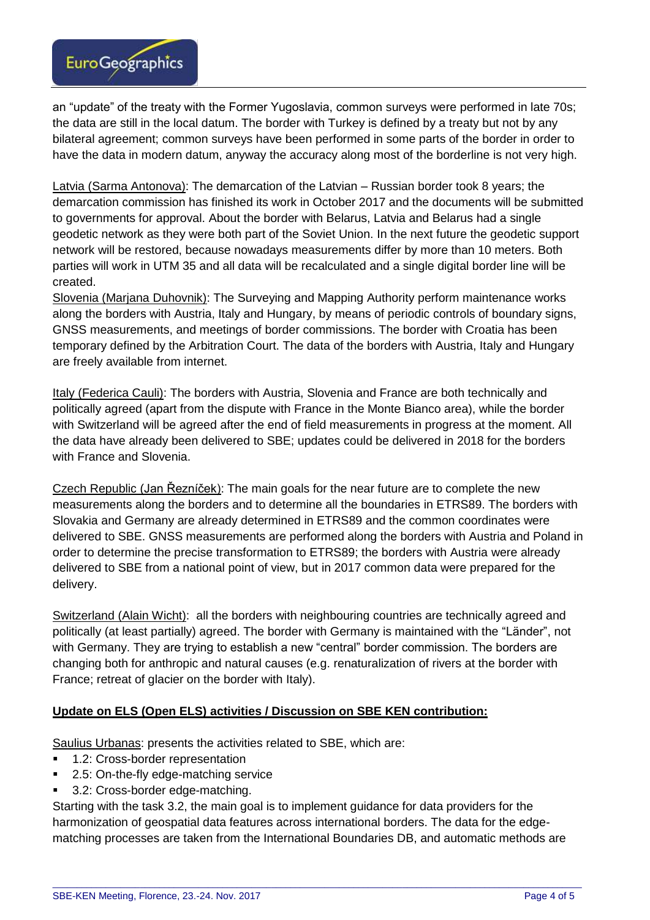

an "update" of the treaty with the Former Yugoslavia, common surveys were performed in late 70s; the data are still in the local datum. The border with Turkey is defined by a treaty but not by any bilateral agreement; common surveys have been performed in some parts of the border in order to have the data in modern datum, anyway the accuracy along most of the borderline is not very high.

Latvia (Sarma Antonova): The demarcation of the Latvian – Russian border took 8 years; the demarcation commission has finished its work in October 2017 and the documents will be submitted to governments for approval. About the border with Belarus, Latvia and Belarus had a single geodetic network as they were both part of the Soviet Union. In the next future the geodetic support network will be restored, because nowadays measurements differ by more than 10 meters. Both parties will work in UTM 35 and all data will be recalculated and a single digital border line will be created.

Slovenia (Marjana Duhovnik): The Surveying and Mapping Authority perform maintenance works along the borders with Austria, Italy and Hungary, by means of periodic controls of boundary signs, GNSS measurements, and meetings of border commissions. The border with Croatia has been temporary defined by the Arbitration Court. The data of the borders with Austria, Italy and Hungary are freely available from internet.

Italy (Federica Cauli): The borders with Austria, Slovenia and France are both technically and politically agreed (apart from the dispute with France in the Monte Bianco area), while the border with Switzerland will be agreed after the end of field measurements in progress at the moment. All the data have already been delivered to SBE; updates could be delivered in 2018 for the borders with France and Slovenia.

Czech Republic (Jan Řezníček): The main goals for the near future are to complete the new measurements along the borders and to determine all the boundaries in ETRS89. The borders with Slovakia and Germany are already determined in ETRS89 and the common coordinates were delivered to SBE. GNSS measurements are performed along the borders with Austria and Poland in order to determine the precise transformation to ETRS89; the borders with Austria were already delivered to SBE from a national point of view, but in 2017 common data were prepared for the delivery.

Switzerland (Alain Wicht): all the borders with neighbouring countries are technically agreed and politically (at least partially) agreed. The border with Germany is maintained with the "Länder", not with Germany. They are trying to establish a new "central" border commission. The borders are changing both for anthropic and natural causes (e.g. renaturalization of rivers at the border with France; retreat of glacier on the border with Italy).

### **Update on ELS (Open ELS) activities / Discussion on SBE KEN contribution:**

Saulius Urbanas: presents the activities related to SBE, which are:

- 1.2: Cross-border representation
- 2.5: On-the-fly edge-matching service
- 3.2: Cross-border edge-matching.

Starting with the task 3.2, the main goal is to implement guidance for data providers for the harmonization of geospatial data features across international borders. The data for the edgematching processes are taken from the International Boundaries DB, and automatic methods are